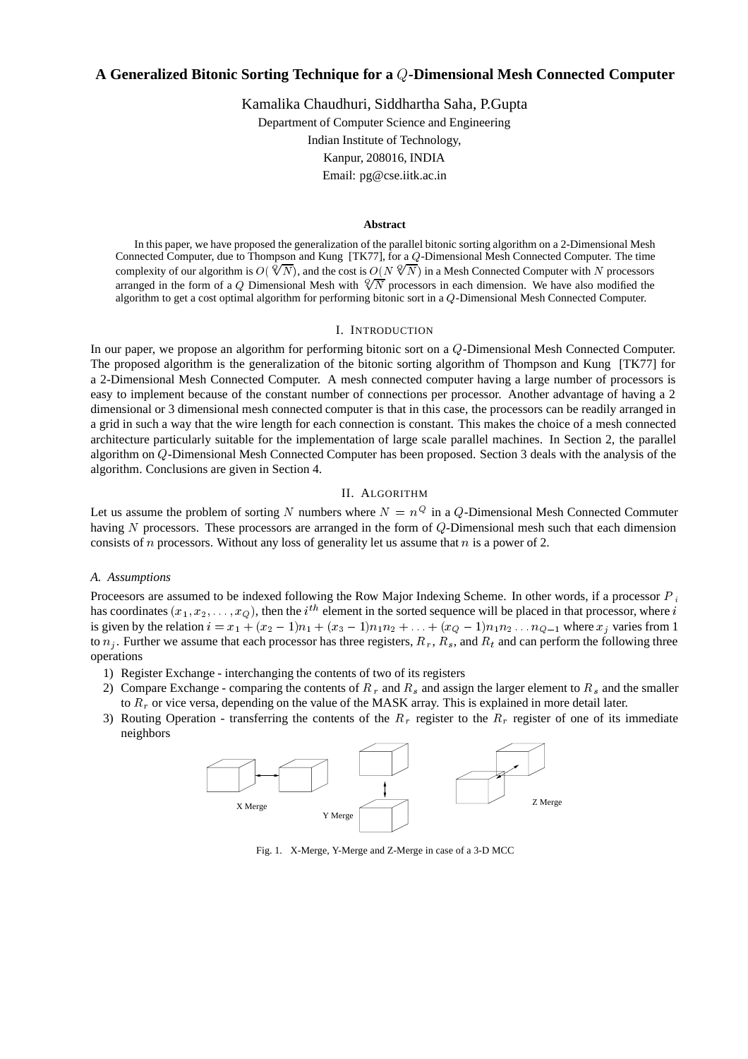# **A Generalized Bitonic Sorting Technique for a -Dimensional Mesh Connected Computer**

Kamalika Chaudhuri, Siddhartha Saha, P.Gupta Department of Computer Science and Engineering Indian Institute of Technology, Kanpur, 208016, INDIA Email: pg@cse.iitk.ac.in

#### **Abstract**

In this paper, we have proposed the generalization of the parallel bitonic sorting algorithm on a 2-Dimensional Mesh Connected Computer, due to Thompson and Kung [TK77], for a Q-Dimensional Mesh Connected Computer. The time complexity of our algorithm is  $O(\sqrt[6]{N})$ , and the cost is  $O(N \sqrt[6]{N})$  in a Mesh Connected Computer with N processors arranged in the form of a Q Dimensional Mesh with  $\sqrt[6]{N}$  processors in each dimension. We have also modified the algorithm to get a cost optimal algorithm for performing bitonic sort in a  $Q$ -Dimensional Mesh Connected Computer.

# I. INTRODUCTION

In our paper, we propose an algorithm for performing bitonic sort on a  $Q$ -Dimensional Mesh Connected Computer. The proposed algorithm is the generalization of the bitonic sorting algorithm of Thompson and Kung [TK77] for a 2-Dimensional Mesh Connected Computer. A mesh connected computer having a large number of processors is easy to implement because of the constant number of connections per processor. Another advantage of having a 2 dimensional or 3 dimensional mesh connected computer is that in this case, the processors can be readily arranged in a grid in such a way that the wire length for each connection is constant. This makes the choice of a mesh connected architecture particularly suitable for the implementation of large scale parallel machines. In Section 2, the parallel algorithm on  $Q$ -Dimensional Mesh Connected Computer has been proposed. Section 3 deals with the analysis of the algorithm. Conclusions are given in Section 4.

#### II. ALGORITHM

Let us assume the problem of sorting N numbers where  $N = n^Q$  in a Q-Dimensional Mesh Connected Commuter having  $N$  processors. These processors are arranged in the form of  $Q$ -Dimensional mesh such that each dimension consists of  $n$  processors. Without any loss of generality let us assume that  $n$  is a power of 2.

# *A. Assumptions*

Processors are assumed to be indexed following the Row Major Indexing Scheme. In other words, if a processor  $P_i$ has coordinates  $(x_1, x_2, \ldots, x_Q)$ , then the *i*<sup>th</sup> element in the sorted sequence will be placed in that processor, where *i* is given by the relation  $i = x_1 + (x_2 - 1)n_1 + (x_3 - 1)n_1n_2 + ... + (x_Q - 1)n_1n_2...n_{Q-1}$  where  $x_j$  varies from 1 to  $n_j$ . Further we assume that each processor has three registers,  $R_r$ ,  $R_s$ , and  $R_t$  and can perform the following three operations

- 1) Register Exchange interchanging the contents of two of its registers
- 2) Compare Exchange comparing the contents of  $R_r$  and  $R_s$  and assign the larger element to  $R_s$  and the smaller to  $R_r$  or vice versa, depending on the value of the MASK array. This is explained in more detail later.
- 3) Routing Operation transferring the contents of the  $R_r$  register to the  $R_r$  register of one of its immediate neighbors



Fig. 1. X-Merge, Y-Merge and Z-Merge in case of a 3-D MCC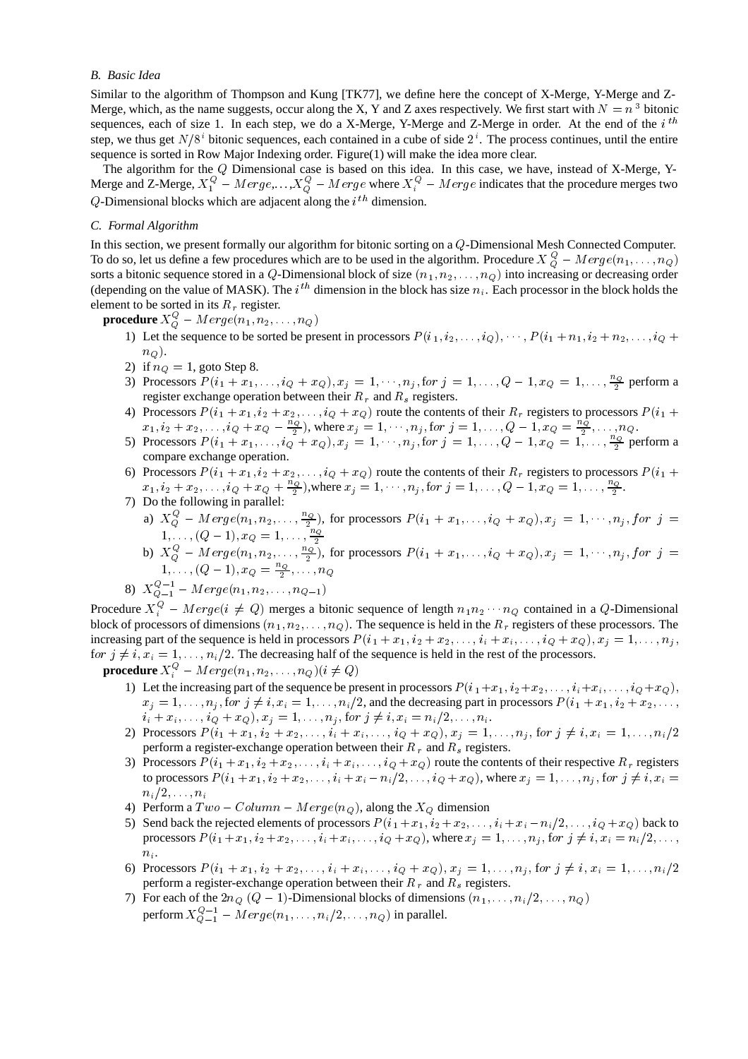# *B. Basic Idea*

Similar to the algorithm of Thompson and Kung [TK77], we define here the concept of X-Merge, Y-Merge and Z-Merge, which, as the name suggests, occur along the X, Y and Z axes respectively. We first start with  $N = n<sup>3</sup>$  bitonic sequences, each of size 1. In each step, we do a X-Merge, Y-Merge and Z-Merge in order. At the end of the  $i^{th}$ step, we thus get  $N/8<sup>i</sup>$  bitonic sequences, each contained in a cube of side  $2<sup>i</sup>$ . The process continues, until the entire sequence is sorted in Row Major Indexing order. Figure(1) will make the idea more clear.

The algorithm for the  $Q$  Dimensional case is based on this idea. In this case, we have, instead of X-Merge, Y-Merge and Z-Merge,  $X_1^Q - Merge, \ldots, X_O^Q - Merge$  where  $X_i^Q - Merge$  indicates that the procedure merges two Q-Dimensional blocks which are adjacent along the  $i<sup>th</sup>$  dimension.

# *C. Formal Algorithm*

In this section, we present formally our algorithm for bitonic sorting on a  $Q$ -Dimensional Mesh Connected Computer. To do so, let us define a few procedures which are to be used in the algorithm. Procedure  $X_O^Q - Merge(n_1,\ldots,n_Q)$ sorts a bitonic sequence stored in a Q-Dimensional block of size  $(n_1, n_2, \ldots, n_Q)$  into increasing or decreasing order (depending on the value of MASK). The *i*<sup>th</sup> dimension in the block has size  $n_i$ . Each processor in the block holds the element to be sorted in its  $R_r$  register.

 $\boldsymbol{\mathsf{procedure}}~X_O^\mathsf{Q}-M \,erge(n_1,n_2,\ldots,n_Q)$ 

- 1) Let the sequence to be sorted be present in processors  $P(i_1, i_2, \ldots, i_Q), \cdots, P(i_1 + n_1, i_2 + n_2, \ldots, i_Q +$  $n_Q$ ).
- 2) if  $n_Q = 1$ , goto Step 8.
- 3) Processors  $P(i_1 + x_1, \ldots, i_Q + x_Q), x_j = 1, \ldots, n_j$ , for  $j = 1, \ldots, Q 1, x_Q = 1, \ldots, \frac{n_Q}{2}$  perform a register exchange operation between their  $R_r$  and  $R_s$  registers.
- 4) Processors  $P(i_1 + x_1, i_2 + x_2, \ldots, i_Q + x_Q)$  route the contents of their  $R_r$  registers to processors  $P(i_1 +$  $x_1, i_2 + x_2, \ldots, i_Q + x_Q - \frac{n_Q}{2}$ , where  $x_j = 1, \ldots, n_j$ , for  $j = 1, \ldots, Q - 1, x_Q = \frac{n_Q}{2}, \ldots, n_Q$ .
- 5) Processors  $P(i_1 + x_1, ..., i_Q + x_Q), x_j = 1, ..., n_j$ , for  $j = 1, ..., Q 1, x_Q = 1, ..., \frac{n_Q}{2}$  perform a compare exchange operation.
- 6) Processors  $P(i_1 + x_1, i_2 + x_2, \ldots, i_Q + x_Q)$  route the contents of their  $R_r$  registers to processors  $P(i_1 +$  $x_1, i_2 + x_2, \ldots, i_Q + x_Q + \frac{n_Q}{2}$ , where  $x_j = 1, \ldots, n_j$ , for  $j = 1, \ldots, Q - 1, x_Q = 1, \ldots, \frac{n_Q}{2}$ .

7) Do the following in parallel:

- a)  $X_Q^Q$   $Merge(n_1, n_2, \ldots, \frac{n_Q}{2})$ , for processors  $P(i_1 + x_1, \ldots, i_Q + x_Q), x_j = 1, \ldots, n_j$ , for  $j =$
- 1,...,  $(Q-1), x_Q = 1, \ldots, \frac{N_Q}{2}$ <br>b)  $X_Q^Q Merge(n_1, n_2, \ldots, \frac{n_Q}{2})$ , for processors  $P(i_1 + x_1, \ldots, i_Q + x_Q), x_j = 1, \ldots, n_j$ , for  $j =$  $1, \ldots, (Q-1), x_Q = \frac{Q}{2}, \ldots, n_Q$
- 8)  $X_{Q-1}^{Q-1}$   $Merge(n_1, n_2, \ldots, n_{Q-1})$

Procedure  $X_i^Q - Merge(i \neq Q)$  merges a bitonic sequence of length  $n_1n_2\cdots n_Q$  contained in a Q-Dimensional block of processors of dimensions  $(n_1, n_2, \ldots, n_Q)$ . The sequence is held in the  $R_r$  registers of these processors. The increasing part of the sequence is held in processors  $P(i_1 + x_1, i_2 + x_2, \ldots, i_i + x_i, \ldots, i_Q + x_Q), x_i = 1, \ldots, n_j$ for  $j \neq i$ ,  $x_i = 1, \ldots, n_i/2$ . The decreasing half of the sequence is held in the rest of the processors.

 $\boldsymbol{\mathsf{procedure}}\ X_i^Q - Merge(n_1,n_2,\ldots,n_Q) (i\neq Q)$ 

- 1) Let the increasing part of the sequence be present in processors  $P(i_1+x_1, i_2+x_2, \ldots, i_i+x_i, \ldots, i_Q+x_Q)$ ,  $x_j = 1, \ldots, n_j$ , for  $j \neq i, x_i = 1, \ldots, n_i/2$ , and the decreasing part in processors  $P(i_1 + x_1, i_2 + x_3, \ldots,$  $i_i + x_i, \ldots, i_Q + x_Q$ ,  $x_j = 1, \ldots, n_j$ , for  $j \neq i, x_i = n_i/2, \ldots, n_i$ .
- 2) Processors  $P(i_1 + x_1, i_2 + x_2, \ldots, i_i + x_i, \ldots, i_Q + x_Q), x_j = 1, \ldots, n_j$ , for  $j \neq i, x_i = 1, \ldots, n_i/2$ perform a register-exchange operation between their  $R_r$  and  $R_s$  registers.
- 3) Processors  $P(i_1 + x_1, i_2 + x_2, \ldots, i_i + x_i, \ldots, i_Q + x_Q)$  route the contents of their respective  $R_r$  registers to processors  $P(i_1 + x_1, i_2 + x_2, \ldots, i_i + x_i - n_i/2, \ldots, i_Q + x_Q)$ , where  $x_j = 1, \ldots, n_j$ , for  $j \neq i$ ,  $x_i =$ . . *. .* . . . . . . . . .
- 4) Perform a  $Two-Column-Merge(n_Q)$ , along the  $X_Q$  dimension
- 5) Send back the rejected elements of processors  $P(i_1 + x_1, i_2 + x_2, \ldots, i_i + x_i n_i/2, \ldots, i_Q + x_Q)$  back to processors  $P(i_1 + x_1, i_2 + x_2, \ldots, i_i + x_i, \ldots, i_Q + x_Q)$ , where  $x_j = 1, \ldots, n_j$ , for  $j \neq i$ ,  $x_i = n_i/2, \ldots,$  $n_i$ .
- 6) Processors  $P(i_1 + x_1, i_2 + x_2, \ldots, i_i + x_i, \ldots, i_Q + x_Q), x_j = 1, \ldots, n_j$  for  $j \neq i, x_i = 1, \ldots, n_i/2$ perform a register-exchange operation between their  $R_r$  and  $R_s$  registers.
- 7) For each of the  $2n_Q$   $(Q-1)$ -Dimensional blocks of dimensions  $(n_1, \ldots, n_i/2, \ldots, n_Q)$ perform  $X_{Q-1}^{Q-1}$  –  $Merge(n_1, \ldots, n_i/2, \ldots, n_Q)$  in parallel.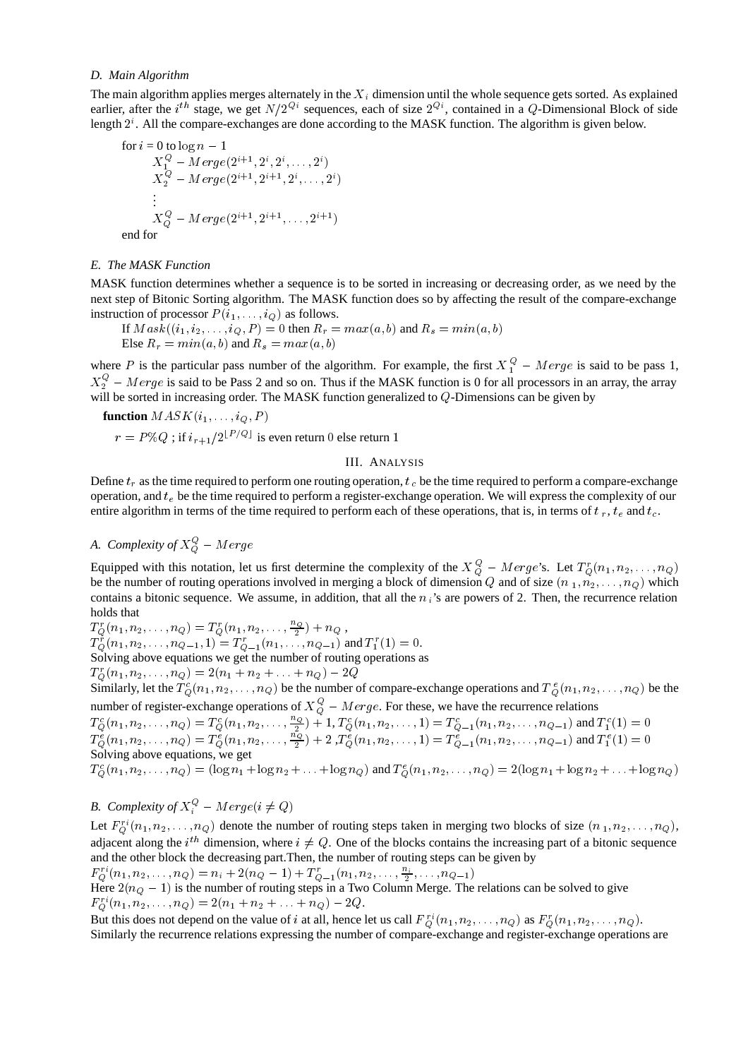# *D. Main Algorithm*

The main algorithm applies merges alternately in the  $X_i$  dimension until the whole sequence gets sorted. As explained earlier, after the *i*<sup>th</sup> stage, we get  $N/2^{Q_i}$  sequences, each of size  $2^{Q_i}$ , contained in a Q-Dimensional Block of side length  $2^i$ . All the compare-exchanges are done according to the MASK function. The algorithm is given below.

for 
$$
i = 0
$$
 to  $\log n - 1$   
\n $X_1^Q - Merge(2^{i+1}, 2^i, 2^i, ..., 2^i)$   
\n $X_2^Q - Merge(2^{i+1}, 2^{i+1}, 2^i, ..., 2^i)$   
\n:  
\n $X_Q^Q - Merge(2^{i+1}, 2^{i+1}, ..., 2^{i+1})$   
\nend for

end for

# *E. The MASK Function*

MASK function determines whether a sequence is to be sorted in increasing or decreasing order, as we need by the next step of Bitonic Sorting algorithm. The MASK function does so by affecting the result of the compare-exchange instruction of processor  $P(i_1, \ldots, i_Q)$  as follows.

If  $Mask((i_1, i_2, \ldots, i_Q, P) = 0$  then  $R_r = max(a, b)$  and  $R_s = min(a, b)$ <br>Else  $R_r = min(a, b)$  and  $R_s = max(a, b)$ 

where P is the particular pass number of the algorithm. For example, the first  $X_1^Q - Merge$  is said to be pass 1,  $X_2^{\mathcal{Q}}$  – Merge is said to be Pass 2 and so on. Thus if the MASK function is 0 for all processors in an array, the array will be sorted in increasing order. The MASK function generalized to  $Q$ -Dimensions can be given by

**function**  $MASK(i_1, \ldots, i_Q, P)$  $r = P \% Q$ ; if  $i_{r+1}/2^{\lfloor P/Q \rfloor}$  is even return 0 else return 1

# III. ANALYSIS

Define  $t_r$  as the time required to perform one routing operation,  $t_c$  be the time required to perform a compare-exchange operation, and  $t_e$  be the time required to perform a register-exchange operation. We will express the complexity of our entire algorithm in terms of the time required to perform each of these operations, that is, in terms of  $t_r$ ,  $t_e$  and  $t_c$ .

# *A.* Complexity of  $X_Q^Q$  – Merge

Equipped with this notation, let us first determine the complexity of the  $X_0^Q - Merge^s$ . Let  $T_0(n_1, n_2, \ldots, n_Q)$ be the number of routing operations involved in merging a block of dimension Q and of size  $(n_1, n_2, \ldots, n_Q)$  which contains a bitonic sequence. We assume, in addition, that all the  $n_i$ 's are powers of 2. Then, the recurrence relation holds that

 $T_{Q}^{r}(n_{1},n_{2},\ldots,n_{Q})=T_{Q}^{r}(n_{1},n_{2},\ldots,\frac{n_{Q}}{2})+n_{Q}\;,$ 

 $T_{O}^{r}(n_1, n_2, \ldots, n_{Q-1}, 1) = T_{O-1}^{r}(n_1, \ldots, n_{Q-1})$  and  $T_{1}^{r}(1) = 0$ .

Solving above equations we get the number of routing operations as

 $L_Q(n_1, n_2, \ldots, n_Q) = \lambda(n_1 + n_2 + \ldots + n_Q) - \lambda Q$ 

Similarly, let the  $T_0(n_1, n_2, \ldots, n_Q)$  be the number of compare-exchange operations and  $T_0(n_1, n_2, \ldots, n_Q)$  be the number of register-exchange operations of  $X_0^{\mathcal{Q}} - Merge$ . For these, we have the recurrence relations

 $T^c_Q(n_1,n_2,\ldots,n_Q)=T^c_Q(n_1,n_2,\ldots,\frac{n_Q}{2})+1,$   $T^c_Q(n_1,n_2,\ldots,1)=T^c_{Q-1}(n_1,n_2,\ldots,n_{Q-1})$  and  $T^c_1(1)=0$  $T^e_Q(n_1, n_2, \ldots, n_Q) = T^e_Q(n_1, n_2, \ldots, \frac{n_Q}{2}) + 2$  ,  $T^e_Q(n_1, n_2, \ldots, 1) = T^e_{Q-1}(n_1, n_2, \ldots, n_{Q-1})$  and  $T^e_1(1) = 0$ Solving above equations, we get

 $T_{G}^{c}(n_1, n_2, \ldots, n_Q) = (\log n_1 + \log n_2 + \ldots + \log n_Q)$  and  $T_{G}^{e}(n_1, n_2, \ldots, n_Q) = 2(\log n_1 + \log n_2 + \ldots + \log n_Q)$ 

# *B.* Complexity of  $X_i^Q$  –  $Merge(i \neq Q)$

Let  $F_O^{r_i}(n_1, n_2, \ldots, n_Q)$  denote the number of routing steps taken in merging two blocks of size  $(n_1, n_2, \ldots, n_Q)$ , adjacent along the *i*<sup>th</sup> dimension, where  $i \neq Q$ . One of the blocks contains the increasing part of a bitonic sequence and the other block the decreasing part.Then, the number of routing steps can be given by

 $F_Q(n_1, n_2, \ldots, n_Q) = n_i + 2(n_Q - 1) + I_{Q-1}(n_1, n_2, \ldots, \frac{n_2}{2}, \ldots, n_Q)$ Here  $2(n_Q - 1)$  is the number of routing steps in a Two Column Merge. The relations can be solved to give

 $F_O^{ri}(n_1, n_2, \ldots, n_Q) = 2(n_1 + n_2 + \ldots + n_Q) - 2Q.$ 

But this does not depend on the value of *i* at all, hence let us call  $F_O^{i'}(n_1, n_2, \ldots, n_Q)$  as  $F_O^{r}(n_1, n_2, \ldots, n_Q)$ . Similarly the recurrence relations expressing the number of compare-exchange and register-exchange operations are